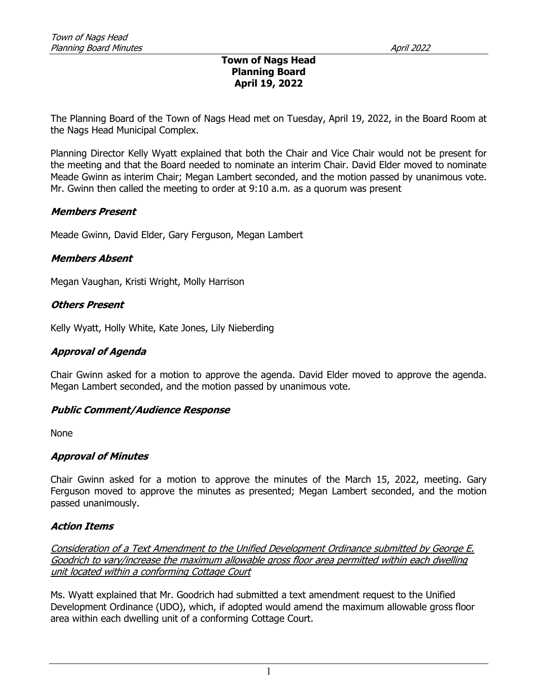#### Town of Nags Head Planning Board April 19, 2022

The Planning Board of the Town of Nags Head met on Tuesday, April 19, 2022, in the Board Room at the Nags Head Municipal Complex.

Planning Director Kelly Wyatt explained that both the Chair and Vice Chair would not be present for the meeting and that the Board needed to nominate an interim Chair. David Elder moved to nominate Meade Gwinn as interim Chair; Megan Lambert seconded, and the motion passed by unanimous vote. Mr. Gwinn then called the meeting to order at 9:10 a.m. as a quorum was present

### Members Present

Meade Gwinn, David Elder, Gary Ferguson, Megan Lambert

### Members Absent

Megan Vaughan, Kristi Wright, Molly Harrison

### Others Present

Kelly Wyatt, Holly White, Kate Jones, Lily Nieberding

### Approval of Agenda

Chair Gwinn asked for a motion to approve the agenda. David Elder moved to approve the agenda. Megan Lambert seconded, and the motion passed by unanimous vote.

#### Public Comment/Audience Response

None

## Approval of Minutes

Chair Gwinn asked for a motion to approve the minutes of the March 15, 2022, meeting. Gary Ferguson moved to approve the minutes as presented; Megan Lambert seconded, and the motion passed unanimously.

## Action Items

Consideration of a Text Amendment to the Unified Development Ordinance submitted by George E. Goodrich to vary/increase the maximum allowable gross floor area permitted within each dwelling unit located within a conforming Cottage Court

Ms. Wyatt explained that Mr. Goodrich had submitted a text amendment request to the Unified Development Ordinance (UDO), which, if adopted would amend the maximum allowable gross floor area within each dwelling unit of a conforming Cottage Court.

1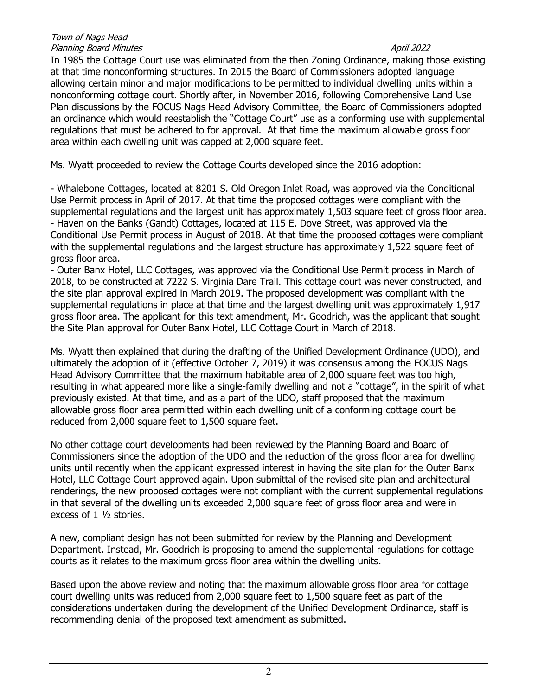In 1985 the Cottage Court use was eliminated from the then Zoning Ordinance, making those existing at that time nonconforming structures. In 2015 the Board of Commissioners adopted language allowing certain minor and major modifications to be permitted to individual dwelling units within a nonconforming cottage court. Shortly after, in November 2016, following Comprehensive Land Use Plan discussions by the FOCUS Nags Head Advisory Committee, the Board of Commissioners adopted an ordinance which would reestablish the "Cottage Court" use as a conforming use with supplemental regulations that must be adhered to for approval. At that time the maximum allowable gross floor area within each dwelling unit was capped at 2,000 square feet.

Ms. Wyatt proceeded to review the Cottage Courts developed since the 2016 adoption:

- Whalebone Cottages, located at 8201 S. Old Oregon Inlet Road, was approved via the Conditional Use Permit process in April of 2017. At that time the proposed cottages were compliant with the supplemental regulations and the largest unit has approximately 1,503 square feet of gross floor area. - Haven on the Banks (Gandt) Cottages, located at 115 E. Dove Street, was approved via the Conditional Use Permit process in August of 2018. At that time the proposed cottages were compliant with the supplemental regulations and the largest structure has approximately 1,522 square feet of gross floor area.

- Outer Banx Hotel, LLC Cottages, was approved via the Conditional Use Permit process in March of 2018, to be constructed at 7222 S. Virginia Dare Trail. This cottage court was never constructed, and the site plan approval expired in March 2019. The proposed development was compliant with the supplemental regulations in place at that time and the largest dwelling unit was approximately 1,917 gross floor area. The applicant for this text amendment, Mr. Goodrich, was the applicant that sought the Site Plan approval for Outer Banx Hotel, LLC Cottage Court in March of 2018.

Ms. Wyatt then explained that during the drafting of the Unified Development Ordinance (UDO), and ultimately the adoption of it (effective October 7, 2019) it was consensus among the FOCUS Nags Head Advisory Committee that the maximum habitable area of 2,000 square feet was too high, resulting in what appeared more like a single-family dwelling and not a "cottage", in the spirit of what previously existed. At that time, and as a part of the UDO, staff proposed that the maximum allowable gross floor area permitted within each dwelling unit of a conforming cottage court be reduced from 2,000 square feet to 1,500 square feet.

No other cottage court developments had been reviewed by the Planning Board and Board of Commissioners since the adoption of the UDO and the reduction of the gross floor area for dwelling units until recently when the applicant expressed interest in having the site plan for the Outer Banx Hotel, LLC Cottage Court approved again. Upon submittal of the revised site plan and architectural renderings, the new proposed cottages were not compliant with the current supplemental regulations in that several of the dwelling units exceeded 2,000 square feet of gross floor area and were in excess of 1 ½ stories.

A new, compliant design has not been submitted for review by the Planning and Development Department. Instead, Mr. Goodrich is proposing to amend the supplemental regulations for cottage courts as it relates to the maximum gross floor area within the dwelling units.

Based upon the above review and noting that the maximum allowable gross floor area for cottage court dwelling units was reduced from 2,000 square feet to 1,500 square feet as part of the considerations undertaken during the development of the Unified Development Ordinance, staff is recommending denial of the proposed text amendment as submitted.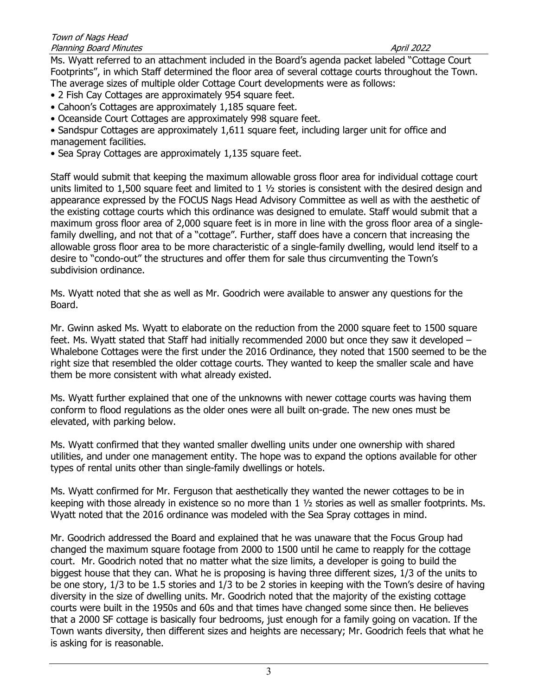Ms. Wyatt referred to an attachment included in the Board's agenda packet labeled "Cottage Court Footprints", in which Staff determined the floor area of several cottage courts throughout the Town. The average sizes of multiple older Cottage Court developments were as follows:

- 2 Fish Cay Cottages are approximately 954 square feet.
- Cahoon's Cottages are approximately 1,185 square feet.
- Oceanside Court Cottages are approximately 998 square feet.
- Sandspur Cottages are approximately 1,611 square feet, including larger unit for office and management facilities.
- Sea Spray Cottages are approximately 1,135 square feet.

Staff would submit that keeping the maximum allowable gross floor area for individual cottage court units limited to 1,500 square feet and limited to 1 ½ stories is consistent with the desired design and appearance expressed by the FOCUS Nags Head Advisory Committee as well as with the aesthetic of the existing cottage courts which this ordinance was designed to emulate. Staff would submit that a maximum gross floor area of 2,000 square feet is in more in line with the gross floor area of a singlefamily dwelling, and not that of a "cottage". Further, staff does have a concern that increasing the allowable gross floor area to be more characteristic of a single-family dwelling, would lend itself to a desire to "condo-out" the structures and offer them for sale thus circumventing the Town's subdivision ordinance.

Ms. Wyatt noted that she as well as Mr. Goodrich were available to answer any questions for the Board.

Mr. Gwinn asked Ms. Wyatt to elaborate on the reduction from the 2000 square feet to 1500 square feet. Ms. Wyatt stated that Staff had initially recommended 2000 but once they saw it developed – Whalebone Cottages were the first under the 2016 Ordinance, they noted that 1500 seemed to be the right size that resembled the older cottage courts. They wanted to keep the smaller scale and have them be more consistent with what already existed.

Ms. Wyatt further explained that one of the unknowns with newer cottage courts was having them conform to flood regulations as the older ones were all built on-grade. The new ones must be elevated, with parking below.

Ms. Wyatt confirmed that they wanted smaller dwelling units under one ownership with shared utilities, and under one management entity. The hope was to expand the options available for other types of rental units other than single-family dwellings or hotels.

Ms. Wyatt confirmed for Mr. Ferguson that aesthetically they wanted the newer cottages to be in keeping with those already in existence so no more than 1 ½ stories as well as smaller footprints. Ms. Wyatt noted that the 2016 ordinance was modeled with the Sea Spray cottages in mind.

Mr. Goodrich addressed the Board and explained that he was unaware that the Focus Group had changed the maximum square footage from 2000 to 1500 until he came to reapply for the cottage court. Mr. Goodrich noted that no matter what the size limits, a developer is going to build the biggest house that they can. What he is proposing is having three different sizes, 1/3 of the units to be one story, 1/3 to be 1.5 stories and 1/3 to be 2 stories in keeping with the Town's desire of having diversity in the size of dwelling units. Mr. Goodrich noted that the majority of the existing cottage courts were built in the 1950s and 60s and that times have changed some since then. He believes that a 2000 SF cottage is basically four bedrooms, just enough for a family going on vacation. If the Town wants diversity, then different sizes and heights are necessary; Mr. Goodrich feels that what he is asking for is reasonable.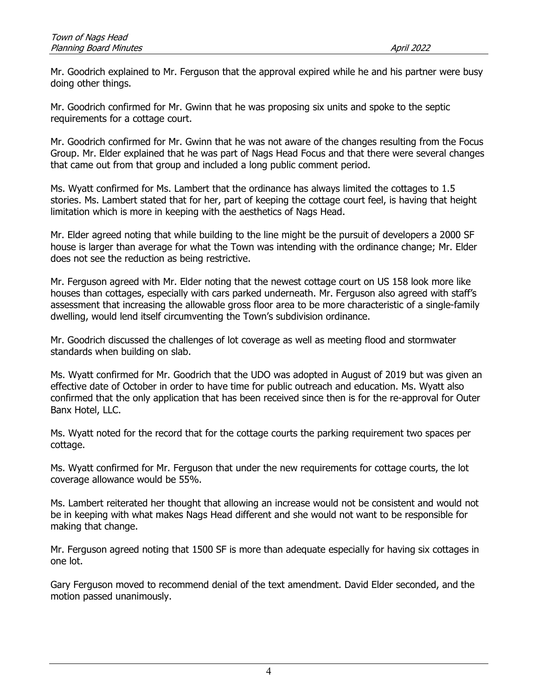Mr. Goodrich explained to Mr. Ferguson that the approval expired while he and his partner were busy doing other things.

Mr. Goodrich confirmed for Mr. Gwinn that he was proposing six units and spoke to the septic requirements for a cottage court.

Mr. Goodrich confirmed for Mr. Gwinn that he was not aware of the changes resulting from the Focus Group. Mr. Elder explained that he was part of Nags Head Focus and that there were several changes that came out from that group and included a long public comment period.

Ms. Wyatt confirmed for Ms. Lambert that the ordinance has always limited the cottages to 1.5 stories. Ms. Lambert stated that for her, part of keeping the cottage court feel, is having that height limitation which is more in keeping with the aesthetics of Nags Head.

Mr. Elder agreed noting that while building to the line might be the pursuit of developers a 2000 SF house is larger than average for what the Town was intending with the ordinance change; Mr. Elder does not see the reduction as being restrictive.

Mr. Ferguson agreed with Mr. Elder noting that the newest cottage court on US 158 look more like houses than cottages, especially with cars parked underneath. Mr. Ferguson also agreed with staff's assessment that increasing the allowable gross floor area to be more characteristic of a single-family dwelling, would lend itself circumventing the Town's subdivision ordinance.

Mr. Goodrich discussed the challenges of lot coverage as well as meeting flood and stormwater standards when building on slab.

Ms. Wyatt confirmed for Mr. Goodrich that the UDO was adopted in August of 2019 but was given an effective date of October in order to have time for public outreach and education. Ms. Wyatt also confirmed that the only application that has been received since then is for the re-approval for Outer Banx Hotel, LLC.

Ms. Wyatt noted for the record that for the cottage courts the parking requirement two spaces per cottage.

Ms. Wyatt confirmed for Mr. Ferguson that under the new requirements for cottage courts, the lot coverage allowance would be 55%.

Ms. Lambert reiterated her thought that allowing an increase would not be consistent and would not be in keeping with what makes Nags Head different and she would not want to be responsible for making that change.

Mr. Ferguson agreed noting that 1500 SF is more than adequate especially for having six cottages in one lot.

Gary Ferguson moved to recommend denial of the text amendment. David Elder seconded, and the motion passed unanimously.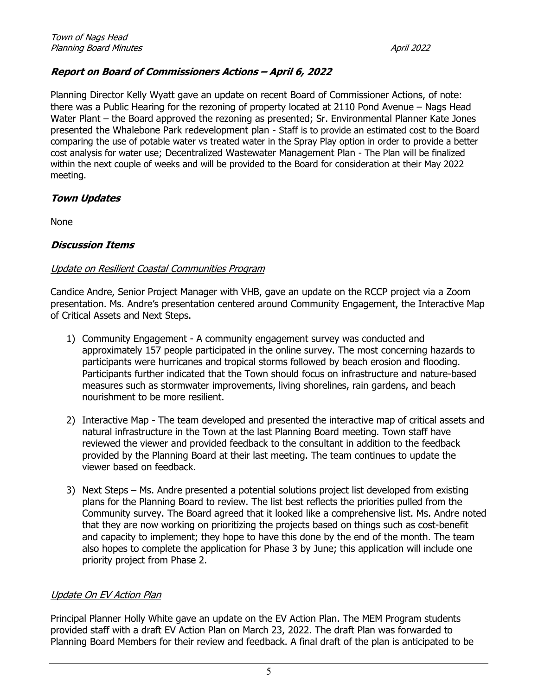# Report on Board of Commissioners Actions – April 6, 2022

Planning Director Kelly Wyatt gave an update on recent Board of Commissioner Actions, of note: there was a Public Hearing for the rezoning of property located at 2110 Pond Avenue – Nags Head Water Plant – the Board approved the rezoning as presented; Sr. Environmental Planner Kate Jones presented the Whalebone Park redevelopment plan - Staff is to provide an estimated cost to the Board comparing the use of potable water vs treated water in the Spray Play option in order to provide a better cost analysis for water use; Decentralized Wastewater Management Plan - The Plan will be finalized within the next couple of weeks and will be provided to the Board for consideration at their May 2022 meeting.

# Town Updates

None

## Discussion Items

## Update on Resilient Coastal Communities Program

Candice Andre, Senior Project Manager with VHB, gave an update on the RCCP project via a Zoom presentation. Ms. Andre's presentation centered around Community Engagement, the Interactive Map of Critical Assets and Next Steps.

- 1) Community Engagement A community engagement survey was conducted and approximately 157 people participated in the online survey. The most concerning hazards to participants were hurricanes and tropical storms followed by beach erosion and flooding. Participants further indicated that the Town should focus on infrastructure and nature-based measures such as stormwater improvements, living shorelines, rain gardens, and beach nourishment to be more resilient.
- 2) Interactive Map The team developed and presented the interactive map of critical assets and natural infrastructure in the Town at the last Planning Board meeting. Town staff have reviewed the viewer and provided feedback to the consultant in addition to the feedback provided by the Planning Board at their last meeting. The team continues to update the viewer based on feedback.
- 3) Next Steps Ms. Andre presented a potential solutions project list developed from existing plans for the Planning Board to review. The list best reflects the priorities pulled from the Community survey. The Board agreed that it looked like a comprehensive list. Ms. Andre noted that they are now working on prioritizing the projects based on things such as cost-benefit and capacity to implement; they hope to have this done by the end of the month. The team also hopes to complete the application for Phase 3 by June; this application will include one priority project from Phase 2.

## Update On EV Action Plan

Principal Planner Holly White gave an update on the EV Action Plan. The MEM Program students provided staff with a draft EV Action Plan on March 23, 2022. The draft Plan was forwarded to Planning Board Members for their review and feedback. A final draft of the plan is anticipated to be